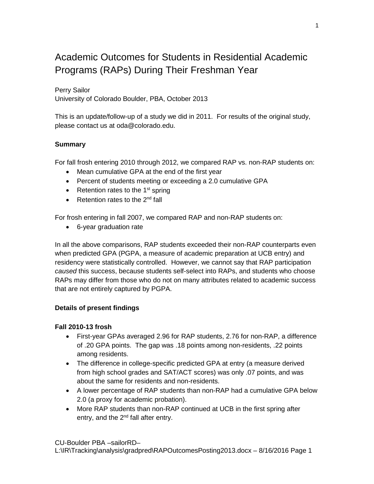# Academic Outcomes for Students in Residential Academic Programs (RAPs) During Their Freshman Year

# Perry Sailor

University of Colorado Boulder, PBA, October 2013

This is an update/follow-up of a study we did in 2011. For results of the original study, please contact us at oda@colorado.edu.

# **Summary**

For fall frosh entering 2010 through 2012, we compared RAP vs. non-RAP students on:

- Mean cumulative GPA at the end of the first year
- Percent of students meeting or exceeding a 2.0 cumulative GPA
- Retention rates to the  $1<sup>st</sup>$  spring
- Retention rates to the  $2<sup>nd</sup>$  fall

For frosh entering in fall 2007, we compared RAP and non-RAP students on:

• 6-year graduation rate

In all the above comparisons, RAP students exceeded their non-RAP counterparts even when predicted GPA (PGPA, a measure of academic preparation at UCB entry) and residency were statistically controlled. However, we cannot say that RAP participation *caused* this success, because students self-select into RAPs, and students who choose RAPs may differ from those who do not on many attributes related to academic success that are not entirely captured by PGPA.

### **Details of present findings**

### **Fall 2010-13 frosh**

- First-year GPAs averaged 2.96 for RAP students, 2.76 for non-RAP, a difference of .20 GPA points. The gap was .18 points among non-residents, .22 points among residents.
- The difference in college-specific predicted GPA at entry (a measure derived from high school grades and SAT/ACT scores) was only .07 points, and was about the same for residents and non-residents.
- A lower percentage of RAP students than non-RAP had a cumulative GPA below 2.0 (a proxy for academic probation).
- More RAP students than non-RAP continued at UCB in the first spring after entry, and the  $2<sup>nd</sup>$  fall after entry.

CU-Boulder PBA –sailorRD–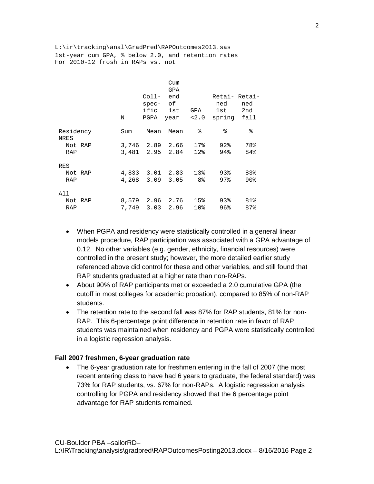L:\ir\tracking\anal\GradPred\RAPOutcomes2013.sas 1st-year cum GPA, % below 2.0, and retention rates For 2010-12 frosh in RAPs vs. not

|                   |       | Coll-<br>spec- of<br>ific | Cum<br>GPA<br>end<br>1st | GPA             | Retai- Retai-<br>ned<br>1st | ned<br>2nd |
|-------------------|-------|---------------------------|--------------------------|-----------------|-----------------------------|------------|
|                   | Ν     | PGPA                      | year                     | 2.0             | spring                      | fall       |
| Residency<br>NRES | Sum   | Mean                      | Mean                     | ⊱               | ిన                          | ⊱          |
| Not RAP           |       | 3,746 2.89 2.66           |                          | 17%             | $92\%$                      | 78%        |
| <b>RAP</b>        |       | 3,481 2.95 2.84           |                          | 12%             | 94%                         | 84%        |
| RES               |       |                           |                          |                 |                             |            |
| Not RAP           |       | 4,833 3.01 2.83           |                          | 13%             | $93\%$                      | 83%        |
| <b>RAP</b>        |       | 4,268 3.09                | 3.05                     | 8 <sup>°</sup>  | 97                          | 90%        |
| All               |       |                           |                          |                 |                             |            |
| Not RAP           |       | 8,579 2.96 2.76           |                          | 15%             | $93\%$                      | 81%        |
| <b>RAP</b>        | 7,749 |                           | $3.03$ 2.96              | 10 <sub>8</sub> | 96%                         | 87%        |

- When PGPA and residency were statistically controlled in a general linear models procedure, RAP participation was associated with a GPA advantage of 0.12. No other variables (e.g. gender, ethnicity, financial resources) were controlled in the present study; however, the more detailed earlier study referenced above did control for these and other variables, and still found that RAP students graduated at a higher rate than non-RAPs.
- About 90% of RAP participants met or exceeded a 2.0 cumulative GPA (the cutoff in most colleges for academic probation), compared to 85% of non-RAP students.
- The retention rate to the second fall was 87% for RAP students, 81% for non-RAP. This 6-percentage point difference in retention rate in favor of RAP students was maintained when residency and PGPA were statistically controlled in a logistic regression analysis.

#### **Fall 2007 freshmen, 6-year graduation rate**

• The 6-year graduation rate for freshmen entering in the fall of 2007 (the most recent entering class to have had 6 years to graduate, the federal standard) was 73% for RAP students, vs. 67% for non-RAPs. A logistic regression analysis controlling for PGPA and residency showed that the 6 percentage point advantage for RAP students remained.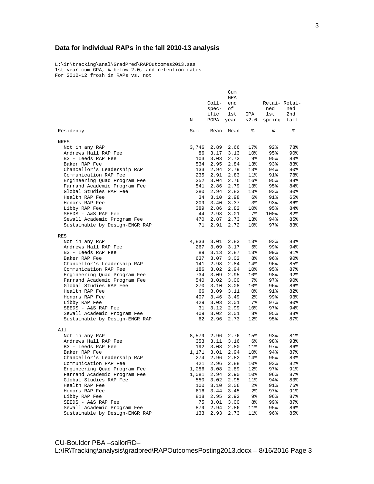# **Data for individual RAPs in the fall 2010-13 analysis**

L:\ir\tracking\anal\GradPred\RAPOutcomes2013.sas 1st-year cum GPA, % below 2.0, and retention rates For 2010-12 frosh in RAPs vs. not

|                                | Cum   |            |           |                 |               |        |
|--------------------------------|-------|------------|-----------|-----------------|---------------|--------|
|                                | GPA   |            |           |                 |               |        |
|                                |       | $Col1-$    | end       |                 | Retai- Retai- |        |
|                                |       | $spec-$    | оf        |                 | ned           | ned    |
|                                |       | ific       | 1st       | GPA             | 1st           | 2nd    |
|                                | Ν     | PGPA       | year      | 2.0             | spring fall   |        |
| Residency                      | Sum   | Mean       | Mean      | ႜ               | ి             | နွ     |
| NRES                           |       |            |           |                 |               |        |
| Not in any RAP                 | 3,746 | 2.89       | 2.66      | 17%             | 92%           | 78%    |
| Andrews Hall RAP Fee           | 86    | 3.17       | 3.13      | 10 <sup>8</sup> | 95%           | 90%    |
| B3 - Leeds RAP Fee             | 103   | 3.03       | 2.73      | 9%              | 95%           | 83%    |
| Baker RAP Fee                  | 534   | 2.95       | 2.84      | 13 <sub>8</sub> | 93%           | 83%    |
| Chancellor's Leadership RAP    | 133   | 2.94       | 2.79      | 13 <sub>8</sub> | 94%           | 80%    |
| Communication RAP Fee          | 235   | 2.91       | 2.83      | $11$ %          | 91%           | 78%    |
| Engineering Quad Program Fee   | 352   | 3.04       | 2.76      | $16\%$          | 95%           | 88%    |
| Farrand Academic Program Fee   | 541   | 2.86       | 2.79      | 13%             | 95%           | 84%    |
| Global Studies RAP Fee         | 280   | 2.94       | 2.83      | 13 <sub>8</sub> | 93%           | 80%    |
| Health RAP Fee                 | 34    | 3.10       | 2.98      | 6%              | 91%           | 65%    |
| Honors RAP Fee                 | 209   | 3.40       | 3.37      | 3%              | 93%           | 86%    |
| Libby RAP Fee                  | 389   | 2.86       | 2.82      | 10 <sup>8</sup> | 95%           | 84%    |
| SEEDS - A&S RAP Fee            |       | 44 2.93    | 3.01      | 7%              | 100%          | 82%    |
| Sewall Academic Program Fee    | 470   | 2.87       | 2.73      | 13 <sub>8</sub> | 94%           | 85%    |
| Sustainable by Design-ENGR RAP | 71    |            | 2.91 2.72 | 10 <sub>8</sub> | $97\%$        | 83%    |
| RES                            |       |            |           |                 |               |        |
| Not in any RAP                 |       | 4,833 3.01 | 2.83      | 13%             | 93%           | 83%    |
| Andrews Hall RAP Fee           | 267   | 3.09       | 3.17      | 5%              | 99%           | 94%    |
| B3 - Leeds RAP Fee             | 89    | 3.13       | 2.87      | 13 <sub>8</sub> | 99%           | 91%    |
| Baker RAP Fee                  | 637   | 3.07       | 3.02      | 8%              | 96%           | 90%    |
| Chancellor's Leadership RAP    | 141   | 2.98       | 2.84      | 14%             | 96%           | 85%    |
| Communication RAP Fee          | 186   | 3.02       | 2.94      | 10%             | 95%           | 87%    |
| Engineering Quad Program Fee   | 734   | 3.09       | 2.95      | 10 <sup>8</sup> | 98%           | $92\%$ |
| Farrand Academic Program Fee   | 540   | 3.02       | 3.00      | 7%              | $97\%$        | 90%    |
| Global Studies RAP Fee         | 270   | 3.10       | 3.08      | 10%             | 96%           | 86%    |
| Health RAP Fee                 | 66    | 3.09       | 3.11      | 0%              | 91%           | 82%    |
| Honors RAP Fee                 | 407   | 3.46       | 3.49      | $2\,$           | 99%           | 93%    |
| Libby RAP Fee                  | 429   | 3.03       | 3.01      | 7%              | $97\%$        | $90\%$ |
| SEEDS - A&S RAP Fee            | 31    | 3.12       | 2.99      | 10 <sup>°</sup> | $97\%$        | 94%    |
| Sewall Academic Program Fee    | 409   | 3.02       | 3.01      | 8%              | 95%           | 88%    |
| Sustainable by Design-ENGR RAP | 62    | 2.96       | 2.73      | 12%             | 95%           | 87%    |
| All                            |       |            |           |                 |               |        |
| Not in any RAP                 | 8,579 | 2.96       | 2.76      | 15%             | 93%           | 81%    |
| Andrews Hall RAP Fee           | 353   | 3.11       | 3.16      | 6%              | 98%           | 93%    |
| B3 - Leeds RAP Fee             | 192   | 3.08       | 2.80      | 11%             | $97\%$        | 86%    |
| Baker RAP Fee                  | 1,171 | 3.01       | 2.94      | 10%             | 94%           | 87%    |
| Chancellor's Leadership RAP    | 274   | 2.96       | 2.82      | 14%             | 95%           | 83%    |
| Communication RAP Fee          | 421   |            | 2.96 2.88 | 10%             | 93%           | 82%    |
| Engineering Quad Program Fee   | 1,086 | 3.08       | 2.89      | 12%             | 97%           | 91%    |
| Farrand Academic Program Fee   | 1,081 | 2.94       | 2.90      | 10%             | 96%           | 87%    |
| Global Studies RAP Fee         | 550   | 3.02       | 2.95      | 11%             | 94%           | 83%    |
| Health RAP Fee                 | 100   | 3.10       | 3.06      | 2%              | 91%           | 76%    |
| Honors RAP Fee                 | 616   | 3.44       | 3.45      | 2%              | 97%           | 91%    |
| Libby RAP Fee                  | 818   | 2.95       | 2.92      | 9%              | 96%           | 87%    |
| SEEDS - A&S RAP Fee            | 75    | 3.01       | 3.00      | 8%              | 99%           | 87%    |
| Sewall Academic Program Fee    | 879   | 2.94       | 2.86      | 11%             | 95%           | 86%    |
| Sustainable by Design-ENGR RAP | 133   | 2.93       | 2.73      | 11%             | 96%           | 85%    |

CU-Boulder PBA –sailorRD–